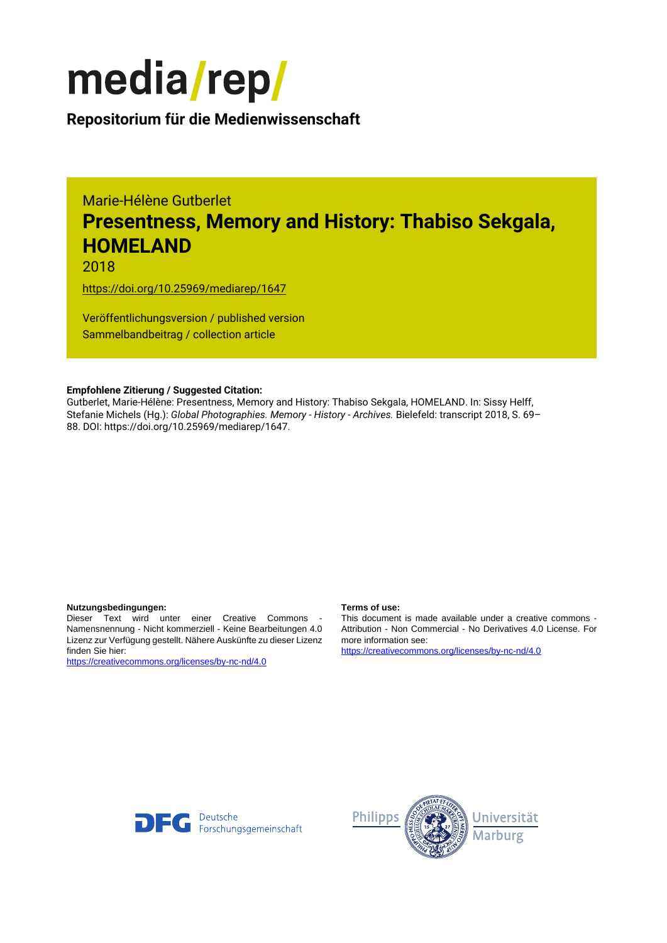

**Repositorium für die [Medienwissenschaft](https://mediarep.org)**

# Marie-Hélène Gutberlet **Presentness, Memory and History: Thabiso Sekgala, HOMELAND**

2018

<https://doi.org/10.25969/mediarep/1647>

Veröffentlichungsversion / published version Sammelbandbeitrag / collection article

### **Empfohlene Zitierung / Suggested Citation:**

Gutberlet, Marie-Hélène: Presentness, Memory and History: Thabiso Sekgala, HOMELAND. In: Sissy Helff, Stefanie Michels (Hg.): *Global Photographies. Memory - History - Archives.* Bielefeld: transcript 2018, S. 69– 88. DOI: https://doi.org/10.25969/mediarep/1647.

#### **Nutzungsbedingungen: Terms of use:**

Dieser Text wird unter einer Creative Commons - Namensnennung - Nicht kommerziell - Keine Bearbeitungen 4.0 Lizenz zur Verfügung gestellt. Nähere Auskünfte zu dieser Lizenz finden Sie hier:

<https://creativecommons.org/licenses/by-nc-nd/4.0>

This document is made available under a creative commons - Attribution - Non Commercial - No Derivatives 4.0 License. For more information see:

<https://creativecommons.org/licenses/by-nc-nd/4.0>



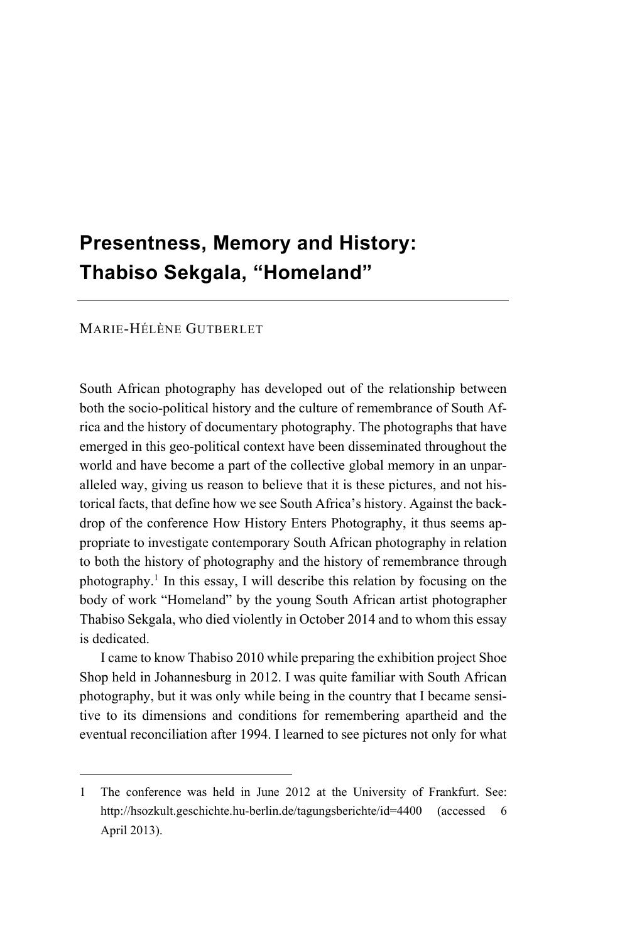# **Presentness, Memory and History: Thabiso Sekgala, "Homeland"**

#### MARIE-HÉLÈNE GUTBERLET

 $\overline{a}$ 

South African photography has developed out of the relationship between both the socio-political history and the culture of remembrance of South Africa and the history of documentary photography. The photographs that have emerged in this geo-political context have been disseminated throughout the world and have become a part of the collective global memory in an unparalleled way, giving us reason to believe that it is these pictures, and not historical facts, that define how we see South Africa's history. Against the backdrop of the conference How History Enters Photography, it thus seems appropriate to investigate contemporary South African photography in relation to both the history of photography and the history of remembrance through photography.1 In this essay, I will describe this relation by focusing on the body of work "Homeland" by the young South African artist photographer Thabiso Sekgala, who died violently in October 2014 and to whom this essay is dedicated.

I came to know Thabiso 2010 while preparing the exhibition project Shoe Shop held in Johannesburg in 2012. I was quite familiar with South African photography, but it was only while being in the country that I became sensitive to its dimensions and conditions for remembering apartheid and the eventual reconciliation after 1994. I learned to see pictures not only for what

<sup>1</sup> The conference was held in June 2012 at the University of Frankfurt. See: http://hsozkult.geschichte.hu-berlin.de/tagungsberichte/id=4400 (accessed 6 April 2013).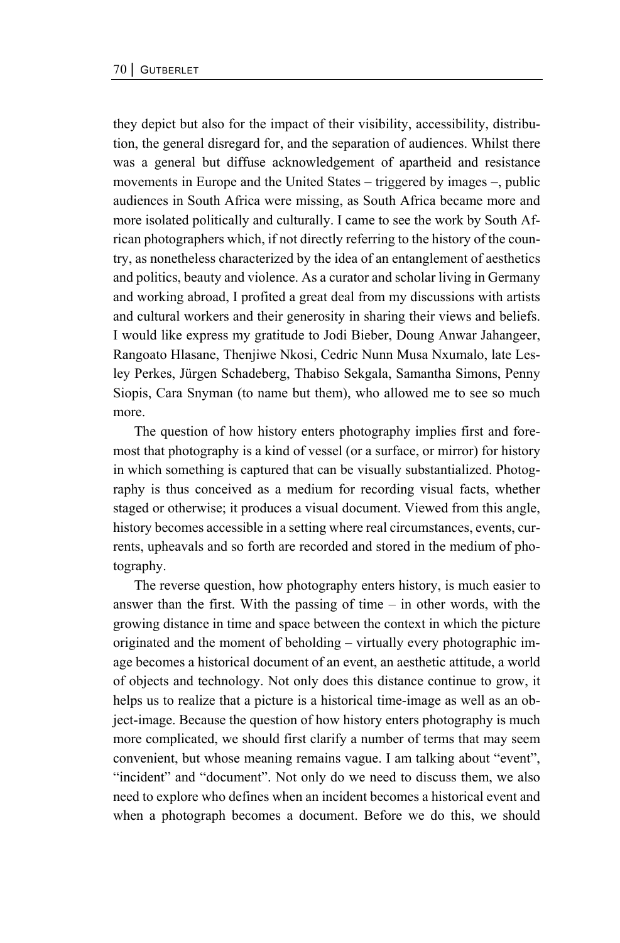they depict but also for the impact of their visibility, accessibility, distribution, the general disregard for, and the separation of audiences. Whilst there was a general but diffuse acknowledgement of apartheid and resistance movements in Europe and the United States – triggered by images –, public audiences in South Africa were missing, as South Africa became more and more isolated politically and culturally. I came to see the work by South African photographers which, if not directly referring to the history of the country, as nonetheless characterized by the idea of an entanglement of aesthetics and politics, beauty and violence. As a curator and scholar living in Germany and working abroad, I profited a great deal from my discussions with artists and cultural workers and their generosity in sharing their views and beliefs. I would like express my gratitude to Jodi Bieber, Doung Anwar Jahangeer, Rangoato Hlasane, Thenjiwe Nkosi, Cedric Nunn Musa Nxumalo, late Lesley Perkes, Jürgen Schadeberg, Thabiso Sekgala, Samantha Simons, Penny Siopis, Cara Snyman (to name but them), who allowed me to see so much more.

The question of how history enters photography implies first and foremost that photography is a kind of vessel (or a surface, or mirror) for history in which something is captured that can be visually substantialized. Photography is thus conceived as a medium for recording visual facts, whether staged or otherwise; it produces a visual document. Viewed from this angle, history becomes accessible in a setting where real circumstances, events, currents, upheavals and so forth are recorded and stored in the medium of photography.

The reverse question, how photography enters history, is much easier to answer than the first. With the passing of time – in other words, with the growing distance in time and space between the context in which the picture originated and the moment of beholding – virtually every photographic image becomes a historical document of an event, an aesthetic attitude, a world of objects and technology. Not only does this distance continue to grow, it helps us to realize that a picture is a historical time-image as well as an object-image. Because the question of how history enters photography is much more complicated, we should first clarify a number of terms that may seem convenient, but whose meaning remains vague. I am talking about "event", "incident" and "document". Not only do we need to discuss them, we also need to explore who defines when an incident becomes a historical event and when a photograph becomes a document. Before we do this, we should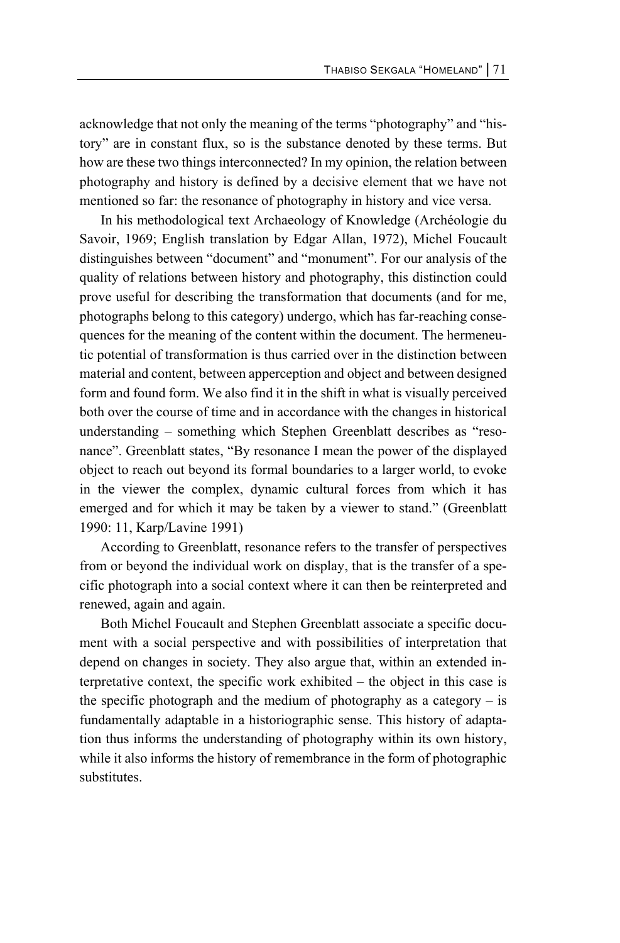acknowledge that not only the meaning of the terms "photography" and "history" are in constant flux, so is the substance denoted by these terms. But how are these two things interconnected? In my opinion, the relation between photography and history is defined by a decisive element that we have not mentioned so far: the resonance of photography in history and vice versa.

In his methodological text Archaeology of Knowledge (Archéologie du Savoir, 1969; English translation by Edgar Allan, 1972), Michel Foucault distinguishes between "document" and "monument". For our analysis of the quality of relations between history and photography, this distinction could prove useful for describing the transformation that documents (and for me, photographs belong to this category) undergo, which has far-reaching consequences for the meaning of the content within the document. The hermeneutic potential of transformation is thus carried over in the distinction between material and content, between apperception and object and between designed form and found form. We also find it in the shift in what is visually perceived both over the course of time and in accordance with the changes in historical understanding – something which Stephen Greenblatt describes as "resonance". Greenblatt states, "By resonance I mean the power of the displayed object to reach out beyond its formal boundaries to a larger world, to evoke in the viewer the complex, dynamic cultural forces from which it has emerged and for which it may be taken by a viewer to stand." (Greenblatt 1990: 11, Karp/Lavine 1991)

According to Greenblatt, resonance refers to the transfer of perspectives from or beyond the individual work on display, that is the transfer of a specific photograph into a social context where it can then be reinterpreted and renewed, again and again.

Both Michel Foucault and Stephen Greenblatt associate a specific document with a social perspective and with possibilities of interpretation that depend on changes in society. They also argue that, within an extended interpretative context, the specific work exhibited – the object in this case is the specific photograph and the medium of photography as a category  $-$  is fundamentally adaptable in a historiographic sense. This history of adaptation thus informs the understanding of photography within its own history, while it also informs the history of remembrance in the form of photographic substitutes.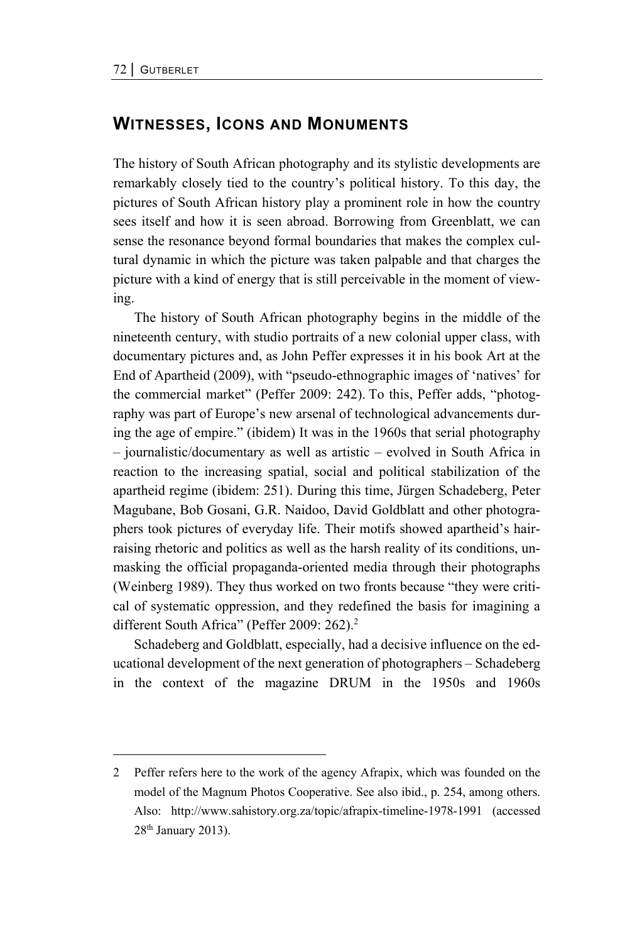# **WITNESSES, ICONS AND MONUMENTS**

The history of South African photography and its stylistic developments are remarkably closely tied to the country's political history. To this day, the pictures of South African history play a prominent role in how the country sees itself and how it is seen abroad. Borrowing from Greenblatt, we can sense the resonance beyond formal boundaries that makes the complex cultural dynamic in which the picture was taken palpable and that charges the picture with a kind of energy that is still perceivable in the moment of viewing.

The history of South African photography begins in the middle of the nineteenth century, with studio portraits of a new colonial upper class, with documentary pictures and, as John Peffer expresses it in his book Art at the End of Apartheid (2009), with "pseudo-ethnographic images of 'natives' for the commercial market" (Peffer 2009: 242). To this, Peffer adds, "photography was part of Europe's new arsenal of technological advancements during the age of empire." (ibidem) It was in the 1960s that serial photography – journalistic/documentary as well as artistic – evolved in South Africa in reaction to the increasing spatial, social and political stabilization of the apartheid regime (ibidem: 251). During this time, Jürgen Schadeberg, Peter Magubane, Bob Gosani, G.R. Naidoo, David Goldblatt and other photographers took pictures of everyday life. Their motifs showed apartheid's hairraising rhetoric and politics as well as the harsh reality of its conditions, unmasking the official propaganda-oriented media through their photographs (Weinberg 1989). They thus worked on two fronts because "they were critical of systematic oppression, and they redefined the basis for imagining a different South Africa" (Peffer 2009: 262).<sup>2</sup>

Schadeberg and Goldblatt, especially, had a decisive influence on the educational development of the next generation of photographers – Schadeberg in the context of the magazine DRUM in the 1950s and 1960s

<sup>2</sup> Peffer refers here to the work of the agency Afrapix, which was founded on the model of the Magnum Photos Cooperative. See also ibid., p. 254, among others. Also: http://www.sahistory.org.za/topic/afrapix-timeline-1978-1991 (accessed 28th January 2013).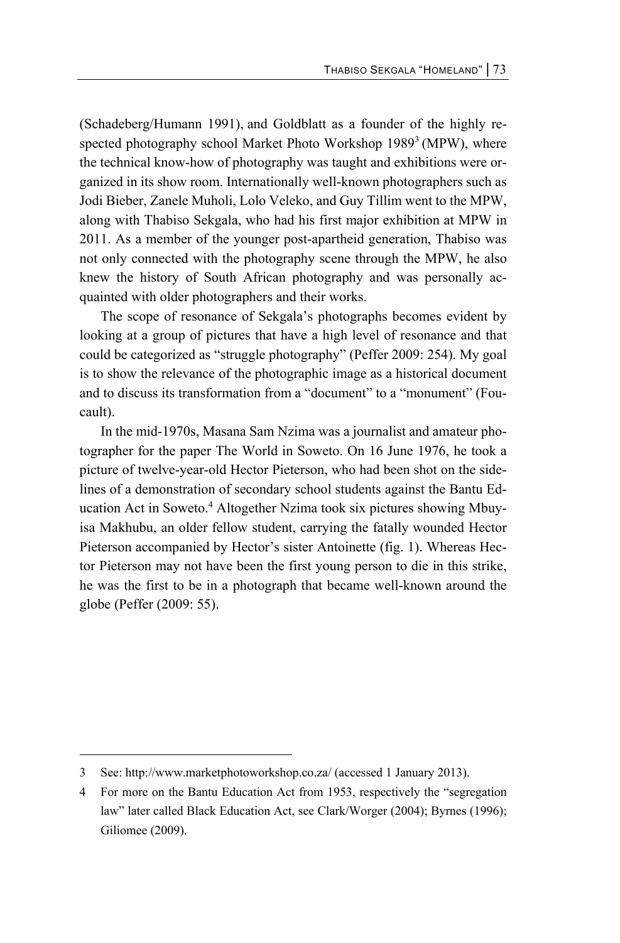(Schadeberg/Humann 1991), and Goldblatt as a founder of the highly respected photography school Market Photo Workshop 1989<sup>3</sup> (MPW), where the technical know-how of photography was taught and exhibitions were organized in its show room. Internationally well-known photographers such as Jodi Bieber, Zanele Muholi, Lolo Veleko, and Guy Tillim went to the MPW, along with Thabiso Sekgala, who had his first major exhibition at MPW in 2011. As a member of the younger post-apartheid generation, Thabiso was not only connected with the photography scene through the MPW, he also knew the history of South African photography and was personally acquainted with older photographers and their works.

The scope of resonance of Sekgala's photographs becomes evident by looking at a group of pictures that have a high level of resonance and that could be categorized as "struggle photography" (Peffer 2009: 254). My goal is to show the relevance of the photographic image as a historical document and to discuss its transformation from a "document" to a "monument" (Foucault).

In the mid-1970s, Masana Sam Nzima was a journalist and amateur photographer for the paper The World in Soweto. On 16 June 1976, he took a picture of twelve-year-old Hector Pieterson, who had been shot on the sidelines of a demonstration of secondary school students against the Bantu Education Act in Soweto.<sup>4</sup> Altogether Nzima took six pictures showing Mbuyisa Makhubu, an older fellow student, carrying the fatally wounded Hector Pieterson accompanied by Hector's sister Antoinette (fig. 1). Whereas Hector Pieterson may not have been the first young person to die in this strike, he was the first to be in a photograph that became well-known around the globe (Peffer (2009: 55).

l

<sup>3</sup> See: http://www.marketphotoworkshop.co.za/ (accessed 1 January 2013).

<sup>4</sup> For more on the Bantu Education Act from 1953, respectively the "segregation law" later called Black Education Act, see Clark/Worger (2004); Byrnes (1996); Giliomee (2009).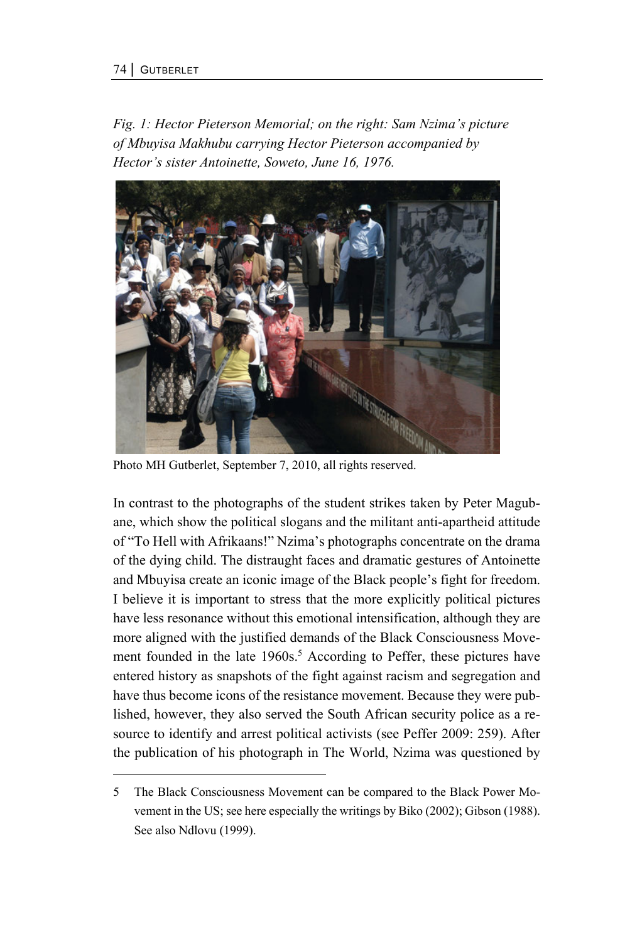*Fig. 1: Hector Pieterson Memorial; on the right: Sam Nzima's picture of Mbuyisa Makhubu carrying Hector Pieterson accompanied by Hector's sister Antoinette, Soweto, June 16, 1976.* 



Photo MH Gutberlet, September 7, 2010, all rights reserved.

In contrast to the photographs of the student strikes taken by Peter Magubane, which show the political slogans and the militant anti-apartheid attitude of "To Hell with Afrikaans!" Nzima's photographs concentrate on the drama of the dying child. The distraught faces and dramatic gestures of Antoinette and Mbuyisa create an iconic image of the Black people's fight for freedom. I believe it is important to stress that the more explicitly political pictures have less resonance without this emotional intensification, although they are more aligned with the justified demands of the Black Consciousness Movement founded in the late 1960s.<sup>5</sup> According to Peffer, these pictures have entered history as snapshots of the fight against racism and segregation and have thus become icons of the resistance movement. Because they were published, however, they also served the South African security police as a resource to identify and arrest political activists (see Peffer 2009: 259). After the publication of his photograph in The World, Nzima was questioned by

<sup>5</sup> The Black Consciousness Movement can be compared to the Black Power Movement in the US; see here especially the writings by Biko (2002); Gibson (1988). See also Ndlovu (1999).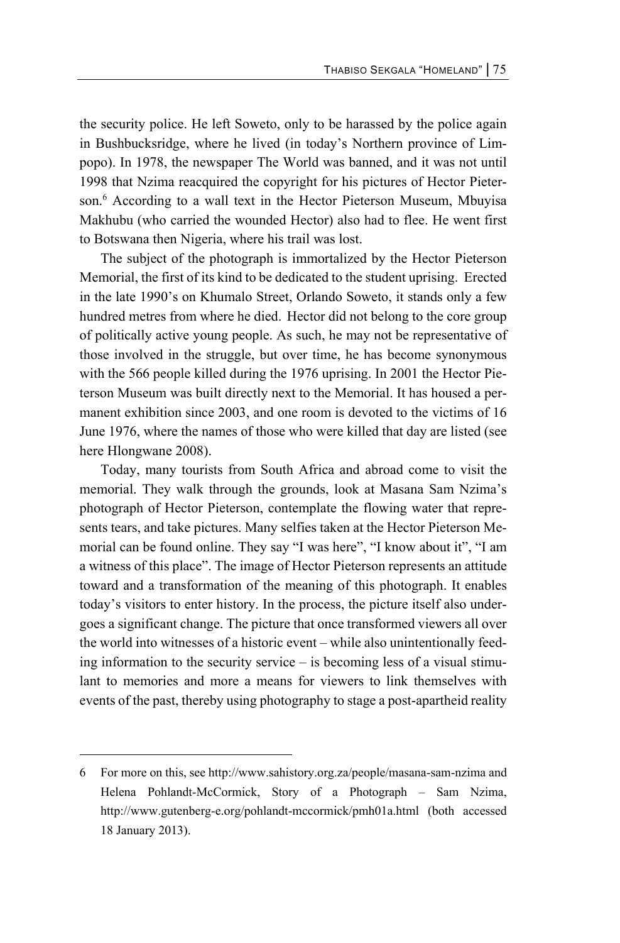the security police. He left Soweto, only to be harassed by the police again in Bushbucksridge, where he lived (in today's Northern province of Limpopo). In 1978, the newspaper The World was banned, and it was not until 1998 that Nzima reacquired the copyright for his pictures of Hector Pieterson.6 According to a wall text in the Hector Pieterson Museum, Mbuyisa Makhubu (who carried the wounded Hector) also had to flee. He went first to Botswana then Nigeria, where his trail was lost.

The subject of the photograph is immortalized by the Hector Pieterson Memorial, the first of its kind to be dedicated to the student uprising. Erected in the late 1990's on Khumalo Street, Orlando Soweto, it stands only a few hundred metres from where he died. Hector did not belong to the core group of politically active young people. As such, he may not be representative of those involved in the struggle, but over time, he has become synonymous with the 566 people killed during the 1976 uprising. In 2001 the Hector Pieterson Museum was built directly next to the Memorial. It has housed a permanent exhibition since 2003, and one room is devoted to the victims of 16 June 1976, where the names of those who were killed that day are listed (see here Hlongwane 2008).

Today, many tourists from South Africa and abroad come to visit the memorial. They walk through the grounds, look at Masana Sam Nzima's photograph of Hector Pieterson, contemplate the flowing water that represents tears, and take pictures. Many selfies taken at the Hector Pieterson Memorial can be found online. They say "I was here", "I know about it", "I am a witness of this place". The image of Hector Pieterson represents an attitude toward and a transformation of the meaning of this photograph. It enables today's visitors to enter history. In the process, the picture itself also undergoes a significant change. The picture that once transformed viewers all over the world into witnesses of a historic event – while also unintentionally feeding information to the security service – is becoming less of a visual stimulant to memories and more a means for viewers to link themselves with events of the past, thereby using photography to stage a post-apartheid reality

l

<sup>6</sup> For more on this, see http://www.sahistory.org.za/people/masana-sam-nzima and Helena Pohlandt-McCormick, Story of a Photograph – Sam Nzima, http://www.gutenberg-e.org/pohlandt-mccormick/pmh01a.html (both accessed 18 January 2013).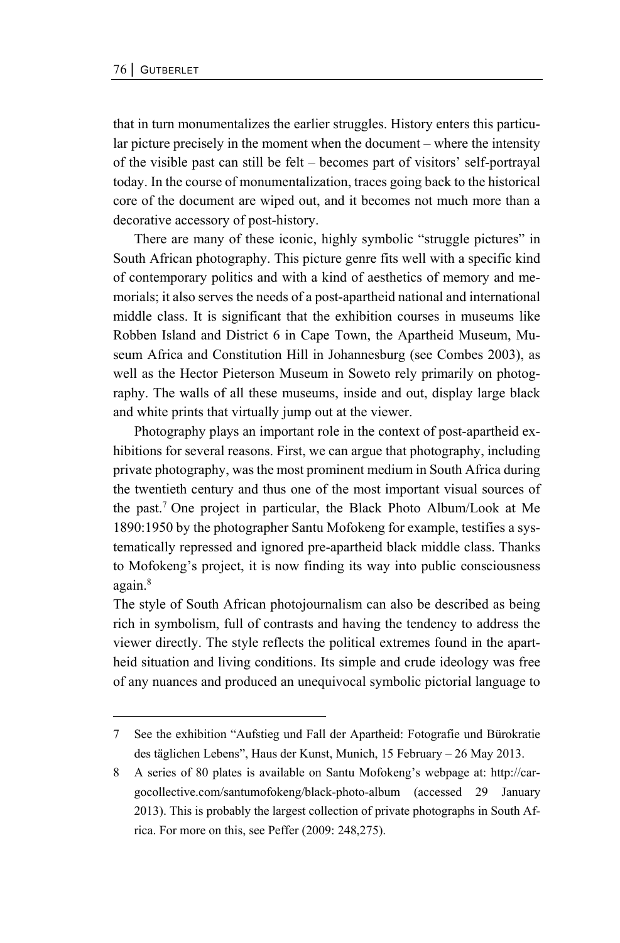that in turn monumentalizes the earlier struggles. History enters this particular picture precisely in the moment when the document – where the intensity of the visible past can still be felt – becomes part of visitors' self-portrayal today. In the course of monumentalization, traces going back to the historical core of the document are wiped out, and it becomes not much more than a decorative accessory of post-history.

There are many of these iconic, highly symbolic "struggle pictures" in South African photography. This picture genre fits well with a specific kind of contemporary politics and with a kind of aesthetics of memory and memorials; it also serves the needs of a post-apartheid national and international middle class. It is significant that the exhibition courses in museums like Robben Island and District 6 in Cape Town, the Apartheid Museum, Museum Africa and Constitution Hill in Johannesburg (see Combes 2003), as well as the Hector Pieterson Museum in Soweto rely primarily on photography. The walls of all these museums, inside and out, display large black and white prints that virtually jump out at the viewer.

Photography plays an important role in the context of post-apartheid exhibitions for several reasons. First, we can argue that photography, including private photography, was the most prominent medium in South Africa during the twentieth century and thus one of the most important visual sources of the past.7 One project in particular, the Black Photo Album/Look at Me 1890:1950 by the photographer Santu Mofokeng for example, testifies a systematically repressed and ignored pre-apartheid black middle class. Thanks to Mofokeng's project, it is now finding its way into public consciousness again.<sup>8</sup>

The style of South African photojournalism can also be described as being rich in symbolism, full of contrasts and having the tendency to address the viewer directly. The style reflects the political extremes found in the apartheid situation and living conditions. Its simple and crude ideology was free of any nuances and produced an unequivocal symbolic pictorial language to

<sup>7</sup> See the exhibition "Aufstieg und Fall der Apartheid: Fotografie und Bürokratie des täglichen Lebens", Haus der Kunst, Munich, 15 February – 26 May 2013.

<sup>8</sup> A series of 80 plates is available on Santu Mofokeng's webpage at: http://cargocollective.com/santumofokeng/black-photo-album (accessed 29 January 2013). This is probably the largest collection of private photographs in South Africa. For more on this, see Peffer (2009: 248,275).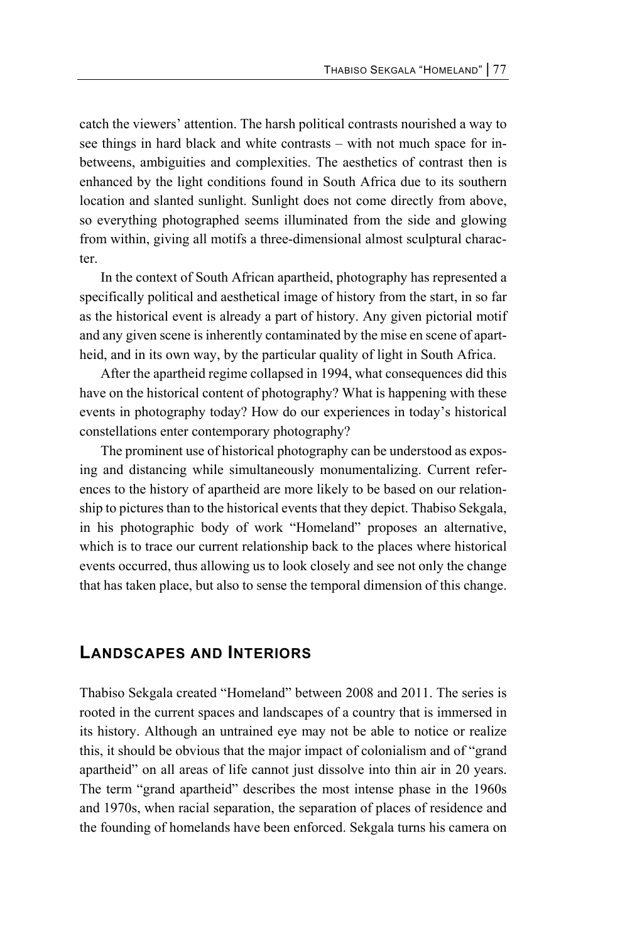catch the viewers' attention. The harsh political contrasts nourished a way to see things in hard black and white contrasts – with not much space for inbetweens, ambiguities and complexities. The aesthetics of contrast then is enhanced by the light conditions found in South Africa due to its southern location and slanted sunlight. Sunlight does not come directly from above, so everything photographed seems illuminated from the side and glowing from within, giving all motifs a three-dimensional almost sculptural character.

In the context of South African apartheid, photography has represented a specifically political and aesthetical image of history from the start, in so far as the historical event is already a part of history. Any given pictorial motif and any given scene is inherently contaminated by the mise en scene of apartheid, and in its own way, by the particular quality of light in South Africa.

After the apartheid regime collapsed in 1994, what consequences did this have on the historical content of photography? What is happening with these events in photography today? How do our experiences in today's historical constellations enter contemporary photography?

The prominent use of historical photography can be understood as exposing and distancing while simultaneously monumentalizing. Current references to the history of apartheid are more likely to be based on our relationship to pictures than to the historical events that they depict. Thabiso Sekgala, in his photographic body of work "Homeland" proposes an alternative, which is to trace our current relationship back to the places where historical events occurred, thus allowing us to look closely and see not only the change that has taken place, but also to sense the temporal dimension of this change.

## **LANDSCAPES AND INTERIORS**

Thabiso Sekgala created "Homeland" between 2008 and 2011. The series is rooted in the current spaces and landscapes of a country that is immersed in its history. Although an untrained eye may not be able to notice or realize this, it should be obvious that the major impact of colonialism and of "grand apartheid" on all areas of life cannot just dissolve into thin air in 20 years. The term "grand apartheid" describes the most intense phase in the 1960s and 1970s, when racial separation, the separation of places of residence and the founding of homelands have been enforced. Sekgala turns his camera on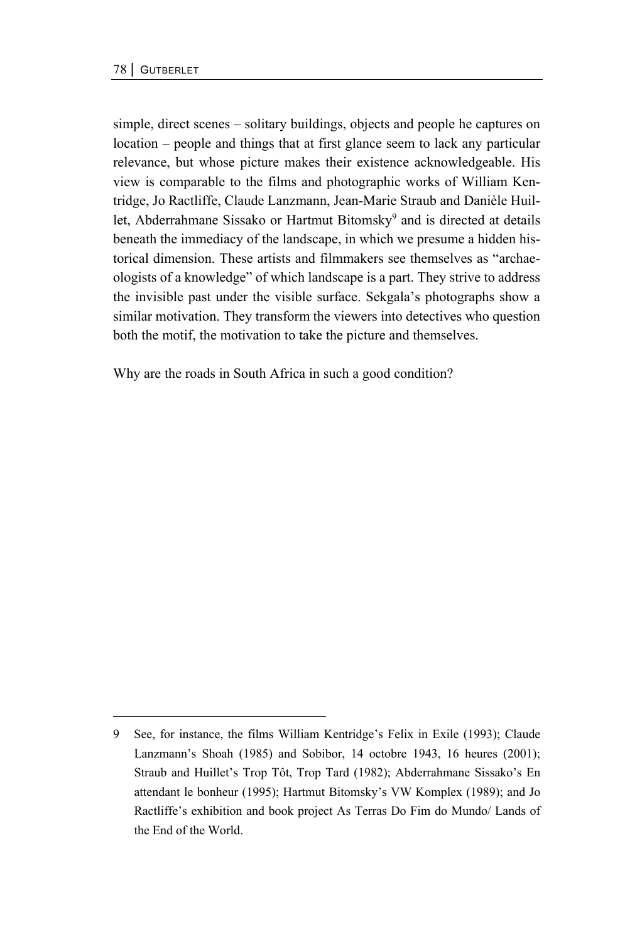simple, direct scenes – solitary buildings, objects and people he captures on location – people and things that at first glance seem to lack any particular relevance, but whose picture makes their existence acknowledgeable. His view is comparable to the films and photographic works of William Kentridge, Jo Ractliffe, Claude Lanzmann, Jean-Marie Straub and Danièle Huillet, Abderrahmane Sissako or Hartmut Bitomsky<sup>9</sup> and is directed at details beneath the immediacy of the landscape, in which we presume a hidden historical dimension. These artists and filmmakers see themselves as "archaeologists of a knowledge" of which landscape is a part. They strive to address the invisible past under the visible surface. Sekgala's photographs show a similar motivation. They transform the viewers into detectives who question both the motif, the motivation to take the picture and themselves.

Why are the roads in South Africa in such a good condition?

<sup>9</sup> See, for instance, the films William Kentridge's Felix in Exile (1993); Claude Lanzmann's Shoah (1985) and Sobibor, 14 octobre 1943, 16 heures (2001); Straub and Huillet's Trop Tôt, Trop Tard (1982); Abderrahmane Sissako's En attendant le bonheur (1995); Hartmut Bitomsky's VW Komplex (1989); and Jo Ractliffe's exhibition and book project As Terras Do Fim do Mundo/ Lands of the End of the World.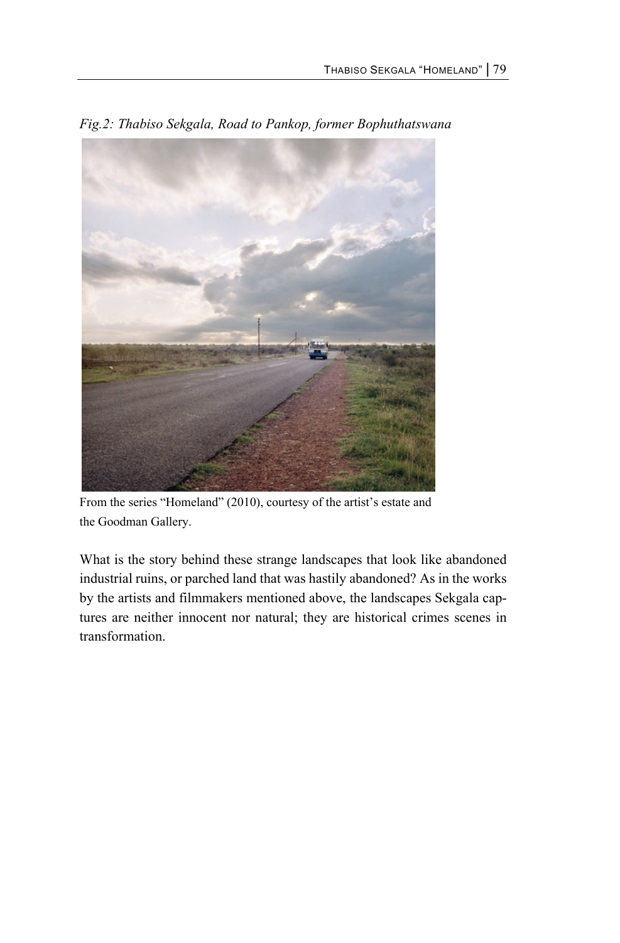

*Fig.2: Thabiso Sekgala, Road to Pankop, former Bophuthatswana* 

From the series "Homeland" (2010), courtesy of the artist's estate and the Goodman Gallery.

What is the story behind these strange landscapes that look like abandoned industrial ruins, or parched land that was hastily abandoned? As in the works by the artists and filmmakers mentioned above, the landscapes Sekgala captures are neither innocent nor natural; they are historical crimes scenes in transformation.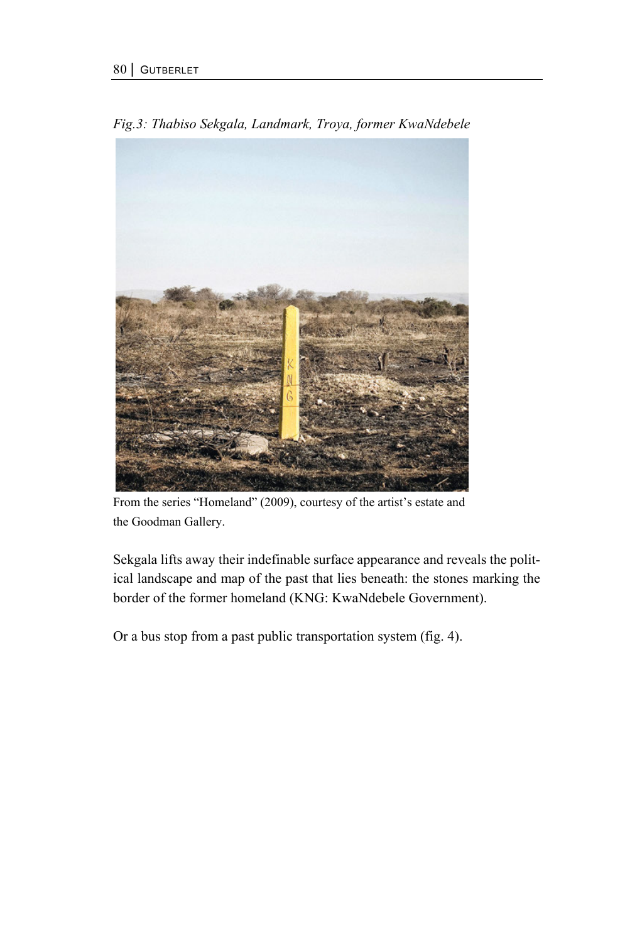

*Fig.3: Thabiso Sekgala, Landmark, Troya, former KwaNdebele* 

From the series "Homeland" (2009), courtesy of the artist's estate and the Goodman Gallery.

Sekgala lifts away their indefinable surface appearance and reveals the political landscape and map of the past that lies beneath: the stones marking the border of the former homeland (KNG: KwaNdebele Government).

Or a bus stop from a past public transportation system (fig. 4).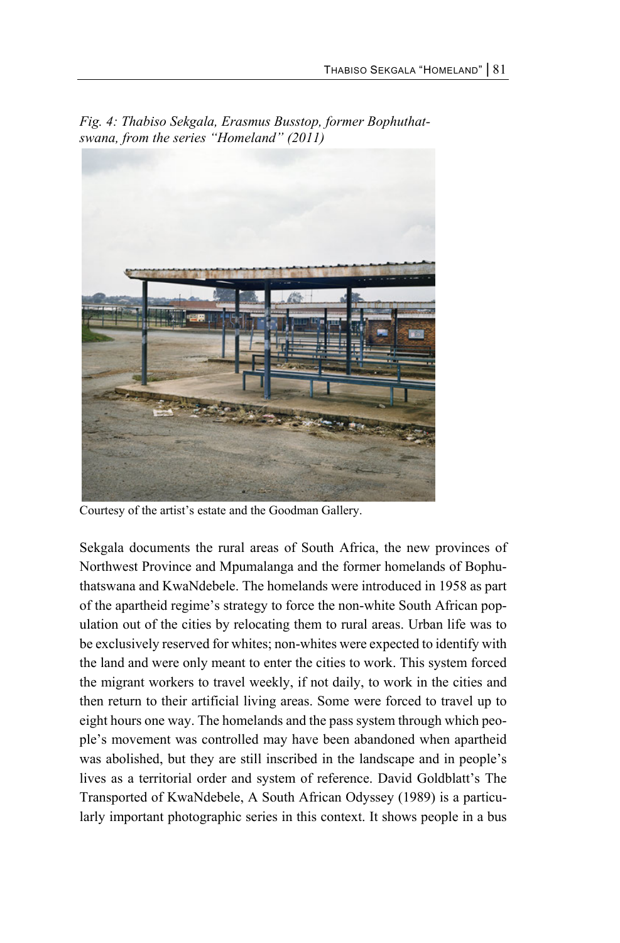

*Fig. 4: Thabiso Sekgala, Erasmus Busstop, former Bophuthatswana, from the series "Homeland" (2011)* 

Courtesy of the artist's estate and the Goodman Gallery.

Sekgala documents the rural areas of South Africa, the new provinces of Northwest Province and Mpumalanga and the former homelands of Bophuthatswana and KwaNdebele. The homelands were introduced in 1958 as part of the apartheid regime's strategy to force the non-white South African population out of the cities by relocating them to rural areas. Urban life was to be exclusively reserved for whites; non-whites were expected to identify with the land and were only meant to enter the cities to work. This system forced the migrant workers to travel weekly, if not daily, to work in the cities and then return to their artificial living areas. Some were forced to travel up to eight hours one way. The homelands and the pass system through which people's movement was controlled may have been abandoned when apartheid was abolished, but they are still inscribed in the landscape and in people's lives as a territorial order and system of reference. David Goldblatt's The Transported of KwaNdebele, A South African Odyssey (1989) is a particularly important photographic series in this context. It shows people in a bus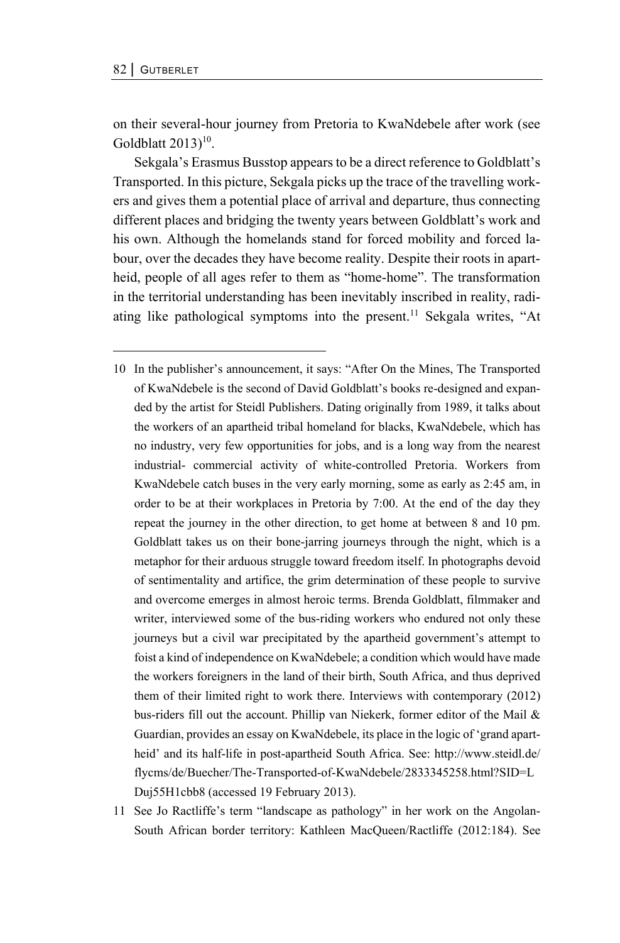on their several-hour journey from Pretoria to KwaNdebele after work (see Goldblatt  $2013$ <sup>10</sup>.

Sekgala's Erasmus Busstop appears to be a direct reference to Goldblatt's Transported. In this picture, Sekgala picks up the trace of the travelling workers and gives them a potential place of arrival and departure, thus connecting different places and bridging the twenty years between Goldblatt's work and his own. Although the homelands stand for forced mobility and forced labour, over the decades they have become reality. Despite their roots in apartheid, people of all ages refer to them as "home-home". The transformation in the territorial understanding has been inevitably inscribed in reality, radiating like pathological symptoms into the present.<sup>11</sup> Sekgala writes, "At

- 10 In the publisher's announcement, it says: "After On the Mines, The Transported of KwaNdebele is the second of David Goldblatt's books re-designed and expanded by the artist for Steidl Publishers. Dating originally from 1989, it talks about the workers of an apartheid tribal homeland for blacks, KwaNdebele, which has no industry, very few opportunities for jobs, and is a long way from the nearest industrial- commercial activity of white-controlled Pretoria. Workers from KwaNdebele catch buses in the very early morning, some as early as 2:45 am, in order to be at their workplaces in Pretoria by 7:00. At the end of the day they repeat the journey in the other direction, to get home at between 8 and 10 pm. Goldblatt takes us on their bone-jarring journeys through the night, which is a metaphor for their arduous struggle toward freedom itself. In photographs devoid of sentimentality and artifice, the grim determination of these people to survive and overcome emerges in almost heroic terms. Brenda Goldblatt, filmmaker and writer, interviewed some of the bus-riding workers who endured not only these journeys but a civil war precipitated by the apartheid government's attempt to foist a kind of independence on KwaNdebele; a condition which would have made the workers foreigners in the land of their birth, South Africa, and thus deprived them of their limited right to work there. Interviews with contemporary (2012) bus-riders fill out the account. Phillip van Niekerk, former editor of the Mail & Guardian, provides an essay on KwaNdebele, its place in the logic of 'grand apartheid' and its half-life in post-apartheid South Africa. See: http://www.steidl.de/ flycms/de/Buecher/The-Transported-of-KwaNdebele/2833345258.html?SID=L Duj55H1cbb8 (accessed 19 February 2013).
- 11 See Jo Ractliffe's term "landscape as pathology" in her work on the Angolan-South African border territory: Kathleen MacQueen/Ractliffe (2012:184). See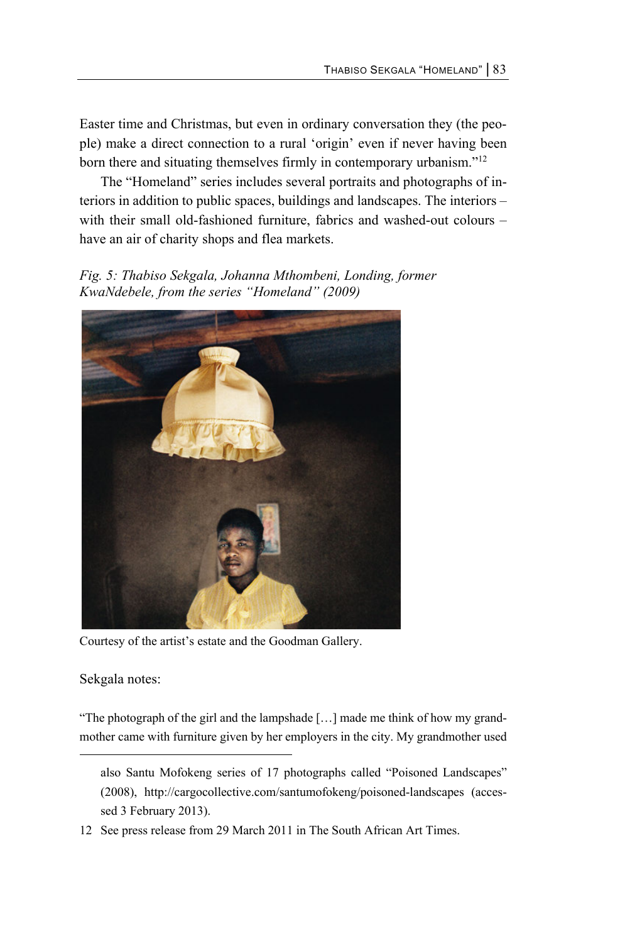Easter time and Christmas, but even in ordinary conversation they (the people) make a direct connection to a rural 'origin' even if never having been born there and situating themselves firmly in contemporary urbanism."12

The "Homeland" series includes several portraits and photographs of interiors in addition to public spaces, buildings and landscapes. The interiors – with their small old-fashioned furniture, fabrics and washed-out colours – have an air of charity shops and flea markets.

*Fig. 5: Thabiso Sekgala, Johanna Mthombeni, Londing, former KwaNdebele, from the series "Homeland" (2009)* 



Courtesy of the artist's estate and the Goodman Gallery.

Sekgala notes:

l

"The photograph of the girl and the lampshade […] made me think of how my grandmother came with furniture given by her employers in the city. My grandmother used

also Santu Mofokeng series of 17 photographs called "Poisoned Landscapes" (2008), http://cargocollective.com/santumofokeng/poisoned-landscapes (accessed 3 February 2013).

<sup>12</sup> See press release from 29 March 2011 in The South African Art Times.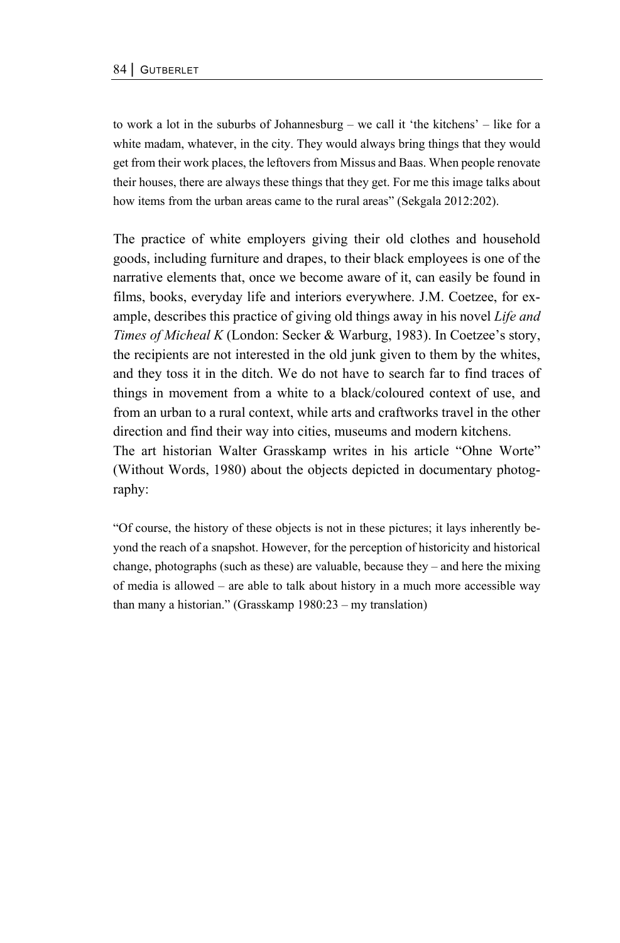to work a lot in the suburbs of Johannesburg – we call it 'the kitchens' – like for a white madam, whatever, in the city. They would always bring things that they would get from their work places, the leftovers from Missus and Baas. When people renovate their houses, there are always these things that they get. For me this image talks about how items from the urban areas came to the rural areas" (Sekgala 2012:202).

The practice of white employers giving their old clothes and household goods, including furniture and drapes, to their black employees is one of the narrative elements that, once we become aware of it, can easily be found in films, books, everyday life and interiors everywhere. J.M. Coetzee, for example, describes this practice of giving old things away in his novel *Life and Times of Micheal K* (London: Secker & Warburg, 1983). In Coetzee's story, the recipients are not interested in the old junk given to them by the whites, and they toss it in the ditch. We do not have to search far to find traces of things in movement from a white to a black/coloured context of use, and from an urban to a rural context, while arts and craftworks travel in the other direction and find their way into cities, museums and modern kitchens. The art historian Walter Grasskamp writes in his article "Ohne Worte" (Without Words, 1980) about the objects depicted in documentary photography:

"Of course, the history of these objects is not in these pictures; it lays inherently beyond the reach of a snapshot. However, for the perception of historicity and historical change, photographs (such as these) are valuable, because they – and here the mixing of media is allowed – are able to talk about history in a much more accessible way than many a historian." (Grasskamp 1980:23 – my translation)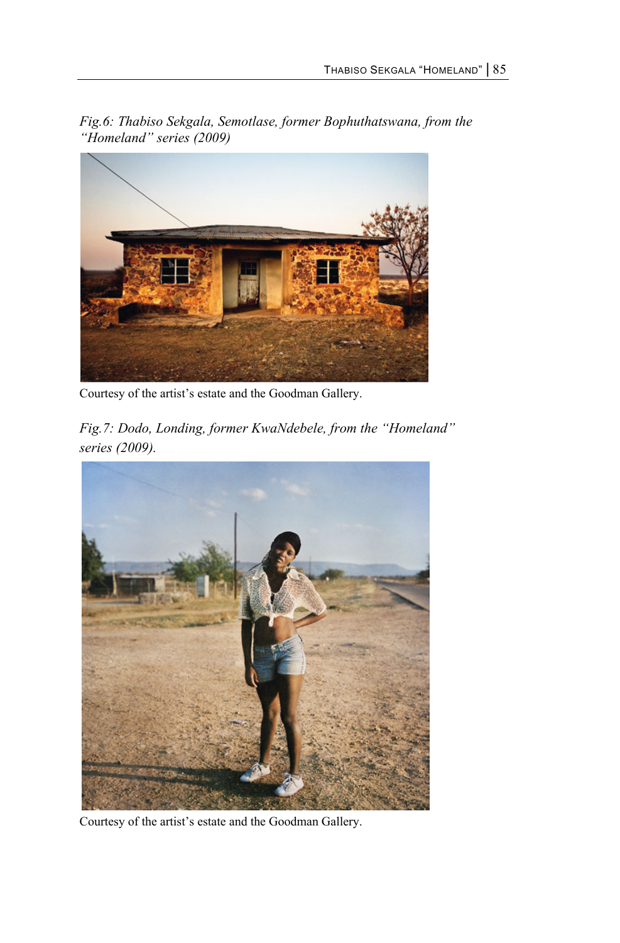*Fig.6: Thabiso Sekgala, Semotlase, former Bophuthatswana, from the "Homeland" series (2009)* 



Courtesy of the artist's estate and the Goodman Gallery.

*Fig.7: Dodo, Londing, former KwaNdebele, from the "Homeland" series (2009).* 



Courtesy of the artist's estate and the Goodman Gallery.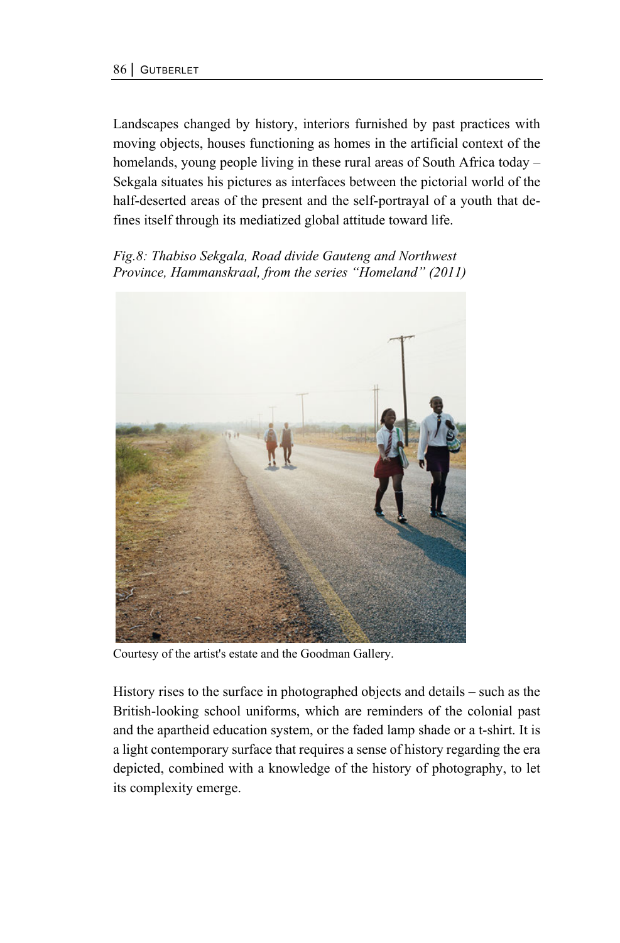Landscapes changed by history, interiors furnished by past practices with moving objects, houses functioning as homes in the artificial context of the homelands, young people living in these rural areas of South Africa today – Sekgala situates his pictures as interfaces between the pictorial world of the half-deserted areas of the present and the self-portrayal of a youth that defines itself through its mediatized global attitude toward life.

*Fig.8: Thabiso Sekgala, Road divide Gauteng and Northwest Province, Hammanskraal, from the series "Homeland" (2011)* 



Courtesy of the artist's estate and the Goodman Gallery.

History rises to the surface in photographed objects and details – such as the British-looking school uniforms, which are reminders of the colonial past and the apartheid education system, or the faded lamp shade or a t-shirt. It is a light contemporary surface that requires a sense of history regarding the era depicted, combined with a knowledge of the history of photography, to let its complexity emerge.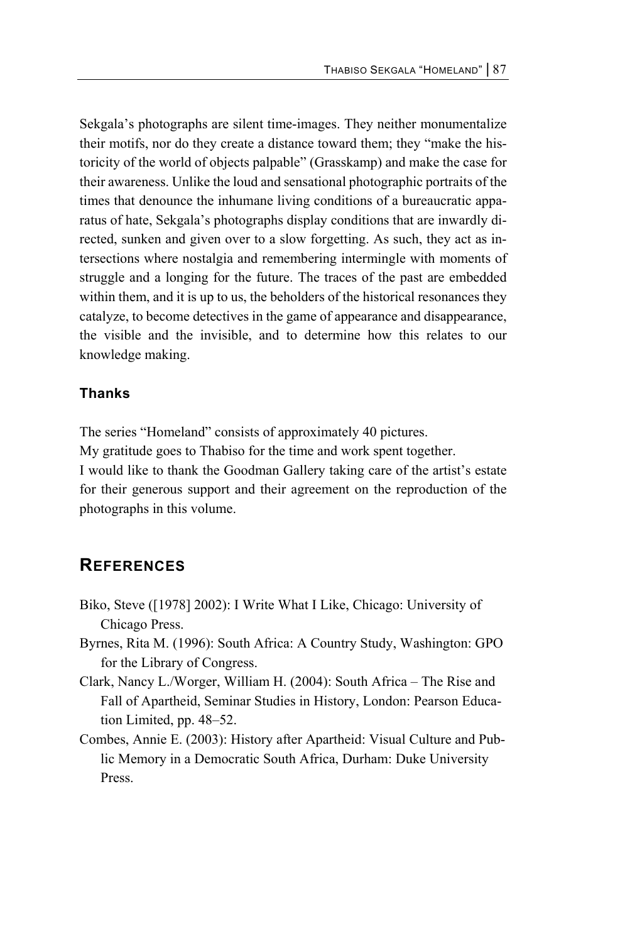Sekgala's photographs are silent time-images. They neither monumentalize their motifs, nor do they create a distance toward them; they "make the historicity of the world of objects palpable" (Grasskamp) and make the case for their awareness. Unlike the loud and sensational photographic portraits of the times that denounce the inhumane living conditions of a bureaucratic apparatus of hate, Sekgala's photographs display conditions that are inwardly directed, sunken and given over to a slow forgetting. As such, they act as intersections where nostalgia and remembering intermingle with moments of struggle and a longing for the future. The traces of the past are embedded within them, and it is up to us, the beholders of the historical resonances they catalyze, to become detectives in the game of appearance and disappearance, the visible and the invisible, and to determine how this relates to our knowledge making.

### **Thanks**

The series "Homeland" consists of approximately 40 pictures.

My gratitude goes to Thabiso for the time and work spent together.

I would like to thank the Goodman Gallery taking care of the artist's estate for their generous support and their agreement on the reproduction of the photographs in this volume.

## **REFERENCES**

- Biko, Steve ([1978] 2002): I Write What I Like, Chicago: University of Chicago Press.
- Byrnes, Rita M. (1996): South Africa: A Country Study, Washington: GPO for the Library of Congress.
- Clark, Nancy L./Worger, William H. (2004): South Africa The Rise and Fall of Apartheid, Seminar Studies in History, London: Pearson Education Limited, pp. 48–52.
- Combes, Annie E. (2003): History after Apartheid: Visual Culture and Public Memory in a Democratic South Africa, Durham: Duke University Press.